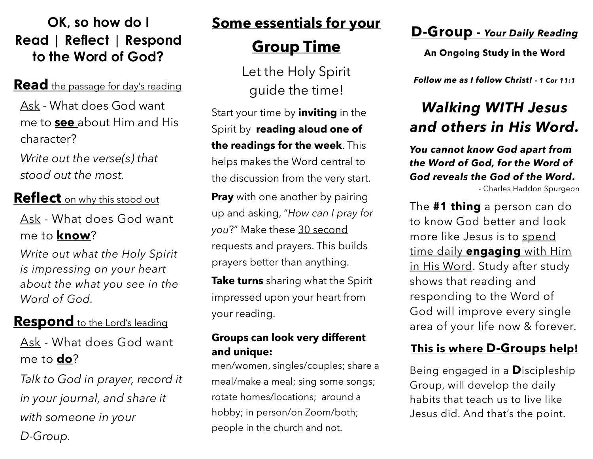## **OK, so how do I Read | Reflect | Respond to the Word of God?**

#### **Read** the passage for day's reading

Ask - What does God want me to **see** about Him and His character?

*Write out the verse(s) that stood out the most.*

**Reflect** on why this stood out Ask - What does God want me to **know**?

*Write out what the Holy Spirit is impressing on your heart about the what you see in the Word of God.*

## **Respond** to the Lord's leading

Ask - What does God want me to **do**?

*Talk to God in prayer, record it in your journal, and share it with someone in your D-Group.*

## **Some essentials for your**

# **Group Time**

Let the Holy Spirit guide the time!

Start your time by **inviting** in the Spirit by **reading aloud one of the readings for the week**. This helps makes the Word central to the discussion from the very start.

**Pray** with one another by pairing up and asking, "*How can I pray for you*?" Make these 30 second requests and prayers. This builds prayers better than anything.

**Take turns** sharing what the Spirit impressed upon your heart from your reading.

#### **Groups can look very different and unique:**

men/women, singles/couples; share a meal/make a meal; sing some songs; rotate homes/locations; around a hobby; in person/on Zoom/both; people in the church and not.

## **D-Group -** *Your Daily Reading*

**An Ongoing Study in the Word**

*Follow me as I follow Christ! - 1 Cor 11:1*

# *Walking WITH Jesus and others in His Word.*

*You cannot know God apart from the Word of God, for the Word of God reveals the God of the Word***.**

- Charles Haddon Spurgeon

The **#1 thing** a person can do to know God better and look more like Jesus is to spend time daily **engaging** with Him in His Word. Study after study shows that reading and responding to the Word of God will improve every single area of your life now & forever.

#### **This is where D-Groups help!**

Being engaged in a **D**iscipleship Group, will develop the daily habits that teach us to live like Jesus did. And that's the point.